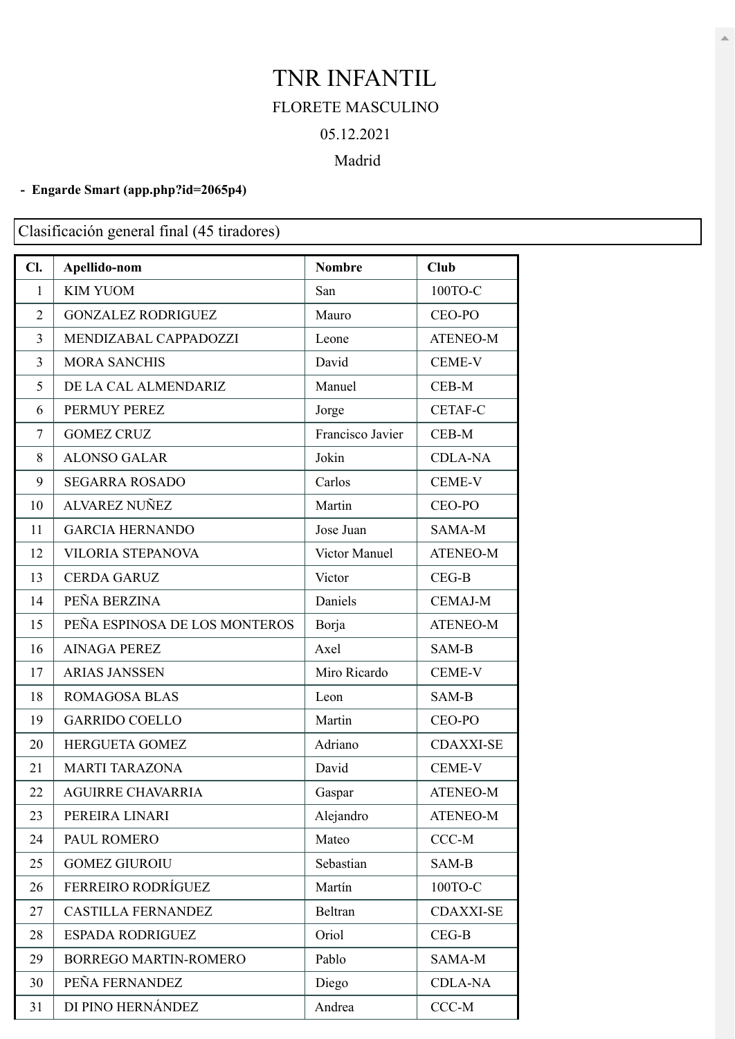## TNR INFANTIL FLORETE MASCULINO 05.12.2021

## Madrid

## **- Engarde Smart [\(app.php?id=2065p4\)](https://engarde-service.com/app.php?id=2065p4)**

Clasificación general final (45 tiradores)

| Cl.            | Apellido-nom                  | <b>Nombre</b>    | Club             |
|----------------|-------------------------------|------------------|------------------|
| $\mathbf{1}$   | <b>KIM YUOM</b>               | San              | 100ТО-С          |
| $\overline{2}$ | <b>GONZALEZ RODRIGUEZ</b>     | Mauro            | CEO-PO           |
| 3              | MENDIZABAL CAPPADOZZI         | Leone            | <b>ATENEO-M</b>  |
| $\overline{3}$ | <b>MORA SANCHIS</b>           | David            | <b>CEME-V</b>    |
| 5              | DE LA CAL ALMENDARIZ          | Manuel           | CEB-M            |
| 6              | PERMUY PEREZ                  | Jorge            | <b>CETAF-C</b>   |
| 7              | <b>GOMEZ CRUZ</b>             | Francisco Javier | CEB-M            |
| 8              | <b>ALONSO GALAR</b>           | Jokin            | <b>CDLA-NA</b>   |
| 9              | <b>SEGARRA ROSADO</b>         | Carlos           | <b>CEME-V</b>    |
| 10             | <b>ALVAREZ NUÑEZ</b>          | Martin           | CEO-PO           |
| 11             | <b>GARCIA HERNANDO</b>        | Jose Juan        | SAMA-M           |
| 12             | <b>VILORIA STEPANOVA</b>      | Victor Manuel    | <b>ATENEO-M</b>  |
| 13             | <b>CERDA GARUZ</b>            | Victor           | $CEG-B$          |
| 14             | PEÑA BERZINA                  | Daniels          | <b>CEMAJ-M</b>   |
| 15             | PEÑA ESPINOSA DE LOS MONTEROS | Borja            | <b>ATENEO-M</b>  |
| 16             | <b>AINAGA PEREZ</b>           | Axel             | SAM-B            |
| 17             | <b>ARIAS JANSSEN</b>          | Miro Ricardo     | <b>CEME-V</b>    |
| 18             | <b>ROMAGOSA BLAS</b>          | Leon             | SAM-B            |
| 19             | <b>GARRIDO COELLO</b>         | Martin           | CEO-PO           |
| 20             | <b>HERGUETA GOMEZ</b>         | Adriano          | <b>CDAXXI-SE</b> |
| 21             | <b>MARTI TARAZONA</b>         | David            | CEME-V           |
| 22             | <b>AGUIRRE CHAVARRIA</b>      | Gaspar           | <b>ATENEO-M</b>  |
| 23             | PEREIRA LINARI                | Alejandro        | <b>ATENEO-M</b>  |
| 24             | PAUL ROMERO                   | Mateo            | $CCC-M$          |
| 25             | <b>GOMEZ GIUROIU</b>          | Sebastian        | SAM-B            |
| 26             | <b>FERREIRO RODRÍGUEZ</b>     | Martín           | 100ТО-С          |
| 27             | <b>CASTILLA FERNANDEZ</b>     | Beltran          | <b>CDAXXI-SE</b> |
| 28             | <b>ESPADA RODRIGUEZ</b>       | Oriol            | $CEG-B$          |
| 29             | <b>BORREGO MARTIN-ROMERO</b>  | Pablo            | SAMA-M           |
| 30             | PEÑA FERNANDEZ                | Diego            | <b>CDLA-NA</b>   |
| 31             | DI PINO HERNÁNDEZ             | Andrea           | $CCC-M$          |